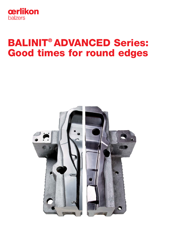

# BALINIT® ADVANCED Series: Good times for round edges

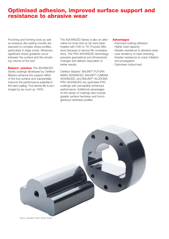# Optimised adhesion, improved surface support and resistance to abrasive wear

Punching and forming tools as well as pressure die-casting moulds are exposed to complex stress profiles, particularly in edge zones. Moreover, significant stress gradients occur between the surface and the remaining volume of the tool.

**Balzers' solution** The ADVANCED Series coatings developed by Oerlikon Balzers enhance the support effect of the tool surface and substantially improve the performance potential of the hard coating. Tool service life is prolonged by as much as 100%.

The ADVANCED Series is also an alternative for tools that so far have been treated with CVD or TD (Toyoda Diffusion) because of service life considerations. The PVD ADVANCED technology prevents geometrical and dimensional changes and delivers equivalent or better results.

Oerlikon Balzers' BALINIT® FUTURA NANO ADVANCED, BALINIT® LUMENA ADVANCED, and BALINIT® ALCRONA PRO ADVANCED are optimised PVD coatings with perceptibly enhanced performance. Additional advantages of this series of coatings also include greater surface hardness and homogeneous hardness profiles.

### Advantages

- Improved coating adhesion
- Higher load capacity
- Greater resistance to abrasive wear
- Less tendency to heat checking
- Greater resistance to crack initiation and propagation
- Optimised critical load

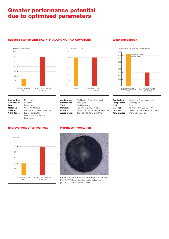# Greater performance potential due to optimised parameters

## Success stories with BALINIT® ALCRONA PRO ADVANCED





**Application:** Press forming<br>**Component:** Bolt head Component:<br>Tool: **Tool:** Press forming punch<br> **Material:** CPM1V (PM Steel) **Material:** CPM1V (PM Steel)<br>**Coating:** BALINIT® ALCRON4 **Coating:** BALINIT® ALCRONA PRO ADVANCED<br>**Advantages:** Longer service life Longer service life Less machine downtime

Less scrap

#### **Application:** Blanking of 10-mm sheet steel<br>**Component:** Pedal parts Component:<br>Tool: **Tool:** Blanking punch<br> **Material:** 1.2379 (~ AISI D **Material:** 1.2379 (~ AISI D2), 61 HRC<br>**Coating:** BALINIT® ALCRONA PRO AD **Coating:** BALINIT® ALCRONA PRO ADVANCED<br> **Advantages:** Same service life as with CVD Same service life as with CVD

### Wear comparison



| <b>Application:</b> | Blanking of 4-mm sheet steel              |
|---------------------|-------------------------------------------|
| <b>Component:</b>   | Steering part                             |
| Tool:               | Blanking punch                            |
| <b>Material:</b>    | 1.2379 (~ AISI D2), 62 HRC                |
| Coating:            | BALINIT <sup>®</sup> ALCRONA PRO ADVANCED |
| <b>Advantages:</b>  | Improved service life                     |
|                     |                                           |

# Improvement of critical load



### Hardness indentation



BALINIT® ALCRONA PRO versus BALINIT® ALCRONA PRO ADVANCED: Less plastic deformation due to greater substrate surface hardness.